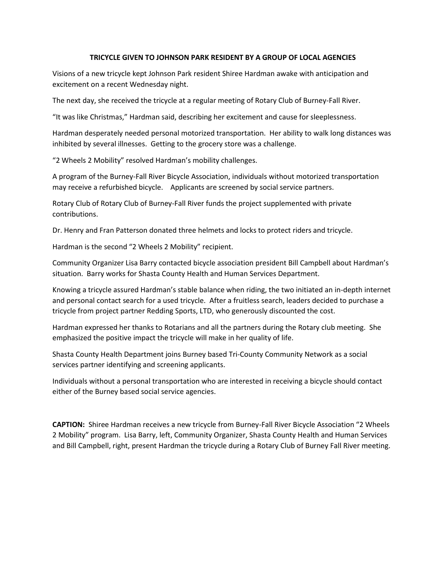## **TRICYCLE GIVEN TO JOHNSON PARK RESIDENT BY A GROUP OF LOCAL AGENCIES**

Visions of a new tricycle kept Johnson Park resident Shiree Hardman awake with anticipation and excitement on a recent Wednesday night.

The next day, she received the tricycle at a regular meeting of Rotary Club of Burney-Fall River.

"It was like Christmas," Hardman said, describing her excitement and cause for sleeplessness.

Hardman desperately needed personal motorized transportation. Her ability to walk long distances was inhibited by several illnesses. Getting to the grocery store was a challenge.

"2 Wheels 2 Mobility" resolved Hardman's mobility challenges.

A program of the Burney-Fall River Bicycle Association, individuals without motorized transportation may receive a refurbished bicycle. Applicants are screened by social service partners.

Rotary Club of Rotary Club of Burney-Fall River funds the project supplemented with private contributions.

Dr. Henry and Fran Patterson donated three helmets and locks to protect riders and tricycle.

Hardman is the second "2 Wheels 2 Mobility" recipient.

Community Organizer Lisa Barry contacted bicycle association president Bill Campbell about Hardman's situation. Barry works for Shasta County Health and Human Services Department.

Knowing a tricycle assured Hardman's stable balance when riding, the two initiated an in-depth internet and personal contact search for a used tricycle. After a fruitless search, leaders decided to purchase a tricycle from project partner Redding Sports, LTD, who generously discounted the cost.

Hardman expressed her thanks to Rotarians and all the partners during the Rotary club meeting. She emphasized the positive impact the tricycle will make in her quality of life.

Shasta County Health Department joins Burney based Tri-County Community Network as a social services partner identifying and screening applicants.

Individuals without a personal transportation who are interested in receiving a bicycle should contact either of the Burney based social service agencies.

**CAPTION:** Shiree Hardman receives a new tricycle from Burney-Fall River Bicycle Association "2 Wheels 2 Mobility" program. Lisa Barry, left, Community Organizer, Shasta County Health and Human Services and Bill Campbell, right, present Hardman the tricycle during a Rotary Club of Burney Fall River meeting.